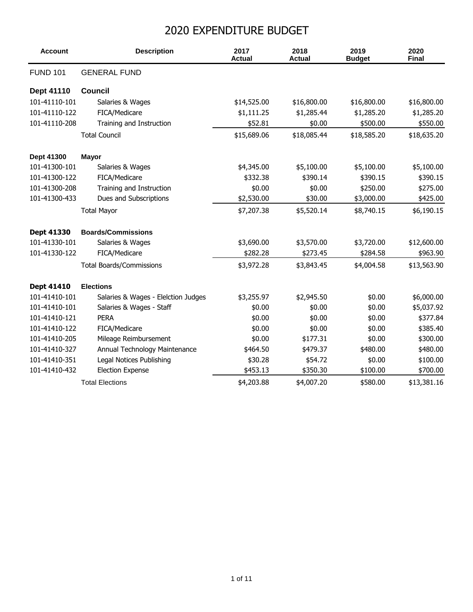## 2020 EXPENDITURE BUDGET

| <b>Account</b>  | <b>Description</b>                  | 2017<br><b>Actual</b> | 2018<br><b>Actual</b> | 2019<br><b>Budget</b> | 2020<br><b>Final</b> |
|-----------------|-------------------------------------|-----------------------|-----------------------|-----------------------|----------------------|
| <b>FUND 101</b> | <b>GENERAL FUND</b>                 |                       |                       |                       |                      |
| Dept 41110      | <b>Council</b>                      |                       |                       |                       |                      |
| 101-41110-101   | Salaries & Wages                    | \$14,525.00           | \$16,800.00           | \$16,800.00           | \$16,800.00          |
| 101-41110-122   | FICA/Medicare                       | \$1,111.25            | \$1,285.44            | \$1,285.20            | \$1,285.20           |
| 101-41110-208   | Training and Instruction            | \$52.81               | \$0.00                | \$500.00              | \$550.00             |
|                 | <b>Total Council</b>                | \$15,689.06           | \$18,085.44           | \$18,585.20           | \$18,635.20          |
| Dept 41300      | <b>Mayor</b>                        |                       |                       |                       |                      |
| 101-41300-101   | Salaries & Wages                    | \$4,345.00            | \$5,100.00            | \$5,100.00            | \$5,100.00           |
| 101-41300-122   | FICA/Medicare                       | \$332.38              | \$390.14              | \$390.15              | \$390.15             |
| 101-41300-208   | Training and Instruction            | \$0.00                | \$0.00                | \$250.00              | \$275.00             |
| 101-41300-433   | Dues and Subscriptions              | \$2,530.00            | \$30.00               | \$3,000.00            | \$425.00             |
|                 | <b>Total Mayor</b>                  | \$7,207.38            | \$5,520.14            | \$8,740.15            | \$6,190.15           |
| Dept 41330      | <b>Boards/Commissions</b>           |                       |                       |                       |                      |
| 101-41330-101   | Salaries & Wages                    | \$3,690.00            | \$3,570.00            | \$3,720.00            | \$12,600.00          |
| 101-41330-122   | FICA/Medicare                       | \$282.28              | \$273.45              | \$284.58              | \$963.90             |
|                 | <b>Total Boards/Commissions</b>     | \$3,972.28            | \$3,843.45            | \$4,004.58            | \$13,563.90          |
| Dept 41410      | <b>Elections</b>                    |                       |                       |                       |                      |
| 101-41410-101   | Salaries & Wages - Elelction Judges | \$3,255.97            | \$2,945.50            | \$0.00                | \$6,000.00           |
| 101-41410-101   | Salaries & Wages - Staff            | \$0.00                | \$0.00                | \$0.00                | \$5,037.92           |
| 101-41410-121   | <b>PERA</b>                         | \$0.00                | \$0.00                | \$0.00                | \$377.84             |
| 101-41410-122   | FICA/Medicare                       | \$0.00                | \$0.00                | \$0.00                | \$385.40             |
| 101-41410-205   | Mileage Reimbursement               | \$0.00                | \$177.31              | \$0.00                | \$300.00             |
| 101-41410-327   | Annual Technology Maintenance       | \$464.50              | \$479.37              | \$480.00              | \$480.00             |
| 101-41410-351   | Legal Notices Publishing            | \$30.28               | \$54.72               | \$0.00                | \$100.00             |
| 101-41410-432   | <b>Election Expense</b>             | \$453.13              | \$350.30              | \$100.00              | \$700.00             |
|                 | <b>Total Elections</b>              | \$4,203.88            | \$4,007.20            | \$580.00              | \$13,381.16          |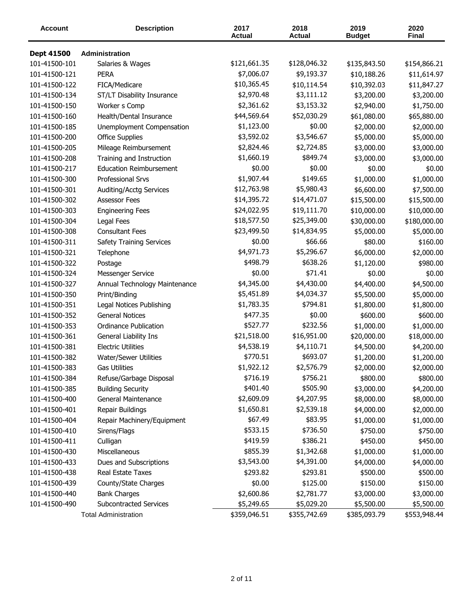| <b>Account</b>    | <b>Description</b>              | 2017<br><b>Actual</b> | 2018<br><b>Actual</b> | 2019<br><b>Budget</b> | 2020<br>Final |
|-------------------|---------------------------------|-----------------------|-----------------------|-----------------------|---------------|
| <b>Dept 41500</b> | Administration                  |                       |                       |                       |               |
| 101-41500-101     | Salaries & Wages                | \$121,661.35          | \$128,046.32          | \$135,843.50          | \$154,866.21  |
| 101-41500-121     | <b>PERA</b>                     | \$7,006.07            | \$9,193.37            | \$10,188.26           | \$11,614.97   |
| 101-41500-122     | FICA/Medicare                   | \$10,365.45           | \$10,114.54           | \$10,392.03           | \$11,847.27   |
| 101-41500-134     | ST/LT Disability Insurance      | \$2,970.48            | \$3,111.12            | \$3,200.00            | \$3,200.00    |
| 101-41500-150     | Worker s Comp                   | \$2,361.62            | \$3,153.32            | \$2,940.00            | \$1,750.00    |
| 101-41500-160     | Health/Dental Insurance         | \$44,569.64           | \$52,030.29           | \$61,080.00           | \$65,880.00   |
| 101-41500-185     | Unemployment Compensation       | \$1,123.00            | \$0.00                | \$2,000.00            | \$2,000.00    |
| 101-41500-200     | <b>Office Supplies</b>          | \$3,592.02            | \$3,546.67            | \$5,000.00            | \$5,000.00    |
| 101-41500-205     | Mileage Reimbursement           | \$2,824.46            | \$2,724.85            | \$3,000.00            | \$3,000.00    |
| 101-41500-208     | Training and Instruction        | \$1,660.19            | \$849.74              | \$3,000.00            | \$3,000.00    |
| 101-41500-217     | <b>Education Reimbursement</b>  | \$0.00                | \$0.00                | \$0.00                | \$0.00        |
| 101-41500-300     | Professional Srvs               | \$1,907.44            | \$149.65              | \$1,000.00            | \$1,000.00    |
| 101-41500-301     | Auditing/Acctg Services         | \$12,763.98           | \$5,980.43            | \$6,600.00            | \$7,500.00    |
| 101-41500-302     | <b>Assessor Fees</b>            | \$14,395.72           | \$14,471.07           | \$15,500.00           | \$15,500.00   |
| 101-41500-303     | <b>Engineering Fees</b>         | \$24,022.95           | \$19,111.70           | \$10,000.00           | \$10,000.00   |
| 101-41500-304     | Legal Fees                      | \$18,577.50           | \$25,349.00           | \$30,000.00           | \$180,000.00  |
| 101-41500-308     | <b>Consultant Fees</b>          | \$23,499.50           | \$14,834.95           | \$5,000.00            | \$5,000.00    |
| 101-41500-311     | <b>Safety Training Services</b> | \$0.00                | \$66.66               | \$80.00               | \$160.00      |
| 101-41500-321     | Telephone                       | \$4,971.73            | \$5,296.67            | \$6,000.00            | \$2,000.00    |
| 101-41500-322     | Postage                         | \$498.79              | \$638.26              | \$1,120.00            | \$980.00      |
| 101-41500-324     | Messenger Service               | \$0.00                | \$71.41               | \$0.00                | \$0.00        |
| 101-41500-327     | Annual Technology Maintenance   | \$4,345.00            | \$4,430.00            | \$4,400.00            | \$4,500.00    |
| 101-41500-350     | Print/Binding                   | \$5,451.89            | \$4,034.37            | \$5,500.00            | \$5,000.00    |
| 101-41500-351     | Legal Notices Publishing        | \$1,783.35            | \$794.81              | \$1,800.00            | \$1,800.00    |
| 101-41500-352     | <b>General Notices</b>          | \$477.35              | \$0.00                | \$600.00              | \$600.00      |
| 101-41500-353     | <b>Ordinance Publication</b>    | \$527.77              | \$232.56              | \$1,000.00            | \$1,000.00    |
| 101-41500-361     | General Liability Ins           | \$21,518.00           | \$16,951.00           | \$20,000.00           | \$18,000.00   |
| 101-41500-381     | <b>Electric Utilities</b>       | \$4,538.19            | \$4,110.71            | \$4,500.00            | \$4,200.00    |
| 101-41500-382     | <b>Water/Sewer Utilities</b>    | \$770.51              | \$693.07              | \$1,200.00            | \$1,200.00    |
| 101-41500-383     | Gas Utilities                   | \$1,922.12            | \$2,576.79            | \$2,000.00            | \$2,000.00    |
| 101-41500-384     | Refuse/Garbage Disposal         | \$716.19              | \$756.21              | \$800.00              | \$800.00      |
| 101-41500-385     | <b>Building Security</b>        | \$401.40              | \$505.90              | \$3,000.00            | \$4,200.00    |
| 101-41500-400     | General Maintenance             | \$2,609.09            | \$4,207.95            | \$8,000.00            | \$8,000.00    |
| 101-41500-401     | Repair Buildings                | \$1,650.81            | \$2,539.18            | \$4,000.00            | \$2,000.00    |
| 101-41500-404     | Repair Machinery/Equipment      | \$67.49               | \$83.95               | \$1,000.00            | \$1,000.00    |
| 101-41500-410     | Sirens/Flags                    | \$533.15              | \$736.50              | \$750.00              | \$750.00      |
| 101-41500-411     | Culligan                        | \$419.59              | \$386.21              | \$450.00              | \$450.00      |
| 101-41500-430     | Miscellaneous                   | \$855.39              | \$1,342.68            | \$1,000.00            | \$1,000.00    |
| 101-41500-433     | Dues and Subscriptions          | \$3,543.00            | \$4,391.00            | \$4,000.00            | \$4,000.00    |
| 101-41500-438     | Real Estate Taxes               | \$293.82              | \$293.81              | \$500.00              | \$500.00      |
| 101-41500-439     | County/State Charges            | \$0.00                | \$125.00              | \$150.00              | \$150.00      |
| 101-41500-440     | <b>Bank Charges</b>             | \$2,600.86            | \$2,781.77            | \$3,000.00            | \$3,000.00    |
| 101-41500-490     | Subcontracted Services          | \$5,249.65            | \$5,029.20            | \$5,500.00            | \$5,500.00    |
|                   | <b>Total Administration</b>     | \$359,046.51          | \$355,742.69          | \$385,093.79          | \$553,948.44  |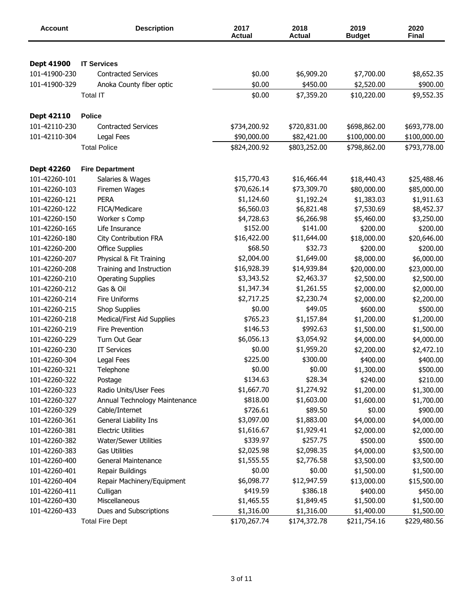| Account       | <b>Description</b>            | 2017<br><b>Actual</b> | 2018<br><b>Actual</b> | 2019<br><b>Budget</b> | 2020<br><b>Final</b> |
|---------------|-------------------------------|-----------------------|-----------------------|-----------------------|----------------------|
|               |                               |                       |                       |                       |                      |
| Dept 41900    | <b>IT Services</b>            |                       |                       |                       |                      |
| 101-41900-230 | <b>Contracted Services</b>    | \$0.00                | \$6,909.20            | \$7,700.00            | \$8,652.35           |
| 101-41900-329 | Anoka County fiber optic      | \$0.00                | \$450.00              | \$2,520.00            | \$900.00             |
|               | <b>Total IT</b>               | \$0.00                | \$7,359.20            | \$10,220.00           | \$9,552.35           |
| Dept 42110    | <b>Police</b>                 |                       |                       |                       |                      |
| 101-42110-230 | <b>Contracted Services</b>    | \$734,200.92          | \$720,831.00          | \$698,862.00          | \$693,778.00         |
| 101-42110-304 | Legal Fees                    | \$90,000.00           | \$82,421.00           | \$100,000.00          | \$100,000.00         |
|               | <b>Total Police</b>           | \$824,200.92          | \$803,252.00          | \$798,862.00          | \$793,778.00         |
| Dept 42260    | <b>Fire Department</b>        |                       |                       |                       |                      |
| 101-42260-101 | Salaries & Wages              | \$15,770.43           | \$16,466.44           | \$18,440.43           | \$25,488.46          |
| 101-42260-103 | Firemen Wages                 | \$70,626.14           | \$73,309.70           | \$80,000.00           | \$85,000.00          |
| 101-42260-121 | <b>PERA</b>                   | \$1,124.60            | \$1,192.24            | \$1,383.03            | \$1,911.63           |
| 101-42260-122 | FICA/Medicare                 | \$6,560.03            | \$6,821.48            | \$7,530.69            | \$8,452.37           |
| 101-42260-150 | Worker s Comp                 | \$4,728.63            | \$6,266.98            | \$5,460.00            | \$3,250.00           |
| 101-42260-165 | Life Insurance                | \$152.00              | \$141.00              | \$200.00              | \$200.00             |
| 101-42260-180 | <b>City Contribution FRA</b>  | \$16,422.00           | \$11,644.00           | \$18,000.00           | \$20,646.00          |
| 101-42260-200 | <b>Office Supplies</b>        | \$68.50               | \$32.73               | \$200.00              | \$200.00             |
| 101-42260-207 | Physical & Fit Training       | \$2,004.00            | \$1,649.00            | \$8,000.00            | \$6,000.00           |
| 101-42260-208 | Training and Instruction      | \$16,928.39           | \$14,939.84           | \$20,000.00           | \$23,000.00          |
| 101-42260-210 | <b>Operating Supplies</b>     | \$3,343.52            | \$2,463.37            | \$2,500.00            | \$2,500.00           |
| 101-42260-212 | Gas & Oil                     | \$1,347.34            | \$1,261.55            | \$2,000.00            | \$2,000.00           |
| 101-42260-214 | <b>Fire Uniforms</b>          | \$2,717.25            | \$2,230.74            | \$2,000.00            | \$2,200.00           |
| 101-42260-215 | Shop Supplies                 | \$0.00                | \$49.05               | \$600.00              | \$500.00             |
| 101-42260-218 | Medical/First Aid Supplies    | \$765.23              | \$1,157.84            | \$1,200.00            | \$1,200.00           |
| 101-42260-219 | <b>Fire Prevention</b>        | \$146.53              | \$992.63              | \$1,500.00            | \$1,500.00           |
| 101-42260-229 | Turn Out Gear                 | \$6,056.13            | \$3,054.92            | \$4,000.00            | \$4,000.00           |
| 101-42260-230 | <b>IT Services</b>            | \$0.00                | \$1,959.20            | \$2,200.00            | \$2,472.10           |
| 101-42260-304 | Legal Fees                    | \$225.00              | \$300.00              | \$400.00              | \$400.00             |
| 101-42260-321 | Telephone                     | \$0.00                | \$0.00                | \$1,300.00            | \$500.00             |
| 101-42260-322 | Postage                       | \$134.63              | \$28.34               | \$240.00              | \$210.00             |
| 101-42260-323 | Radio Units/User Fees         | \$1,667.70            | \$1,274.92            | \$1,200.00            | \$1,300.00           |
| 101-42260-327 | Annual Technology Maintenance | \$818.00              | \$1,603.00            | \$1,600.00            | \$1,700.00           |
| 101-42260-329 | Cable/Internet                | \$726.61              | \$89.50               | \$0.00                | \$900.00             |
| 101-42260-361 | General Liability Ins         | \$3,097.00            | \$1,883.00            | \$4,000.00            | \$4,000.00           |
| 101-42260-381 | <b>Electric Utilities</b>     | \$1,616.67            | \$1,929.41            | \$2,000.00            | \$2,000.00           |
| 101-42260-382 | <b>Water/Sewer Utilities</b>  | \$339.97              | \$257.75              | \$500.00              | \$500.00             |
| 101-42260-383 | <b>Gas Utilities</b>          | \$2,025.98            | \$2,098.35            | \$4,000.00            | \$3,500.00           |
| 101-42260-400 | <b>General Maintenance</b>    | \$1,555.55            | \$2,776.58            | \$3,500.00            | \$3,500.00           |
| 101-42260-401 | Repair Buildings              | \$0.00                | \$0.00                | \$1,500.00            | \$1,500.00           |
| 101-42260-404 | Repair Machinery/Equipment    | \$6,098.77            | \$12,947.59           | \$13,000.00           | \$15,500.00          |
| 101-42260-411 | Culligan                      | \$419.59              | \$386.18              | \$400.00              | \$450.00             |
| 101-42260-430 | Miscellaneous                 | \$1,465.55            | \$1,849.45            | \$1,500.00            | \$1,500.00           |
| 101-42260-433 | Dues and Subscriptions        | \$1,316.00            | \$1,316.00            | \$1,400.00            | \$1,500.00           |
|               | <b>Total Fire Dept</b>        | \$170,267.74          | \$174,372.78          | \$211,754.16          | \$229,480.56         |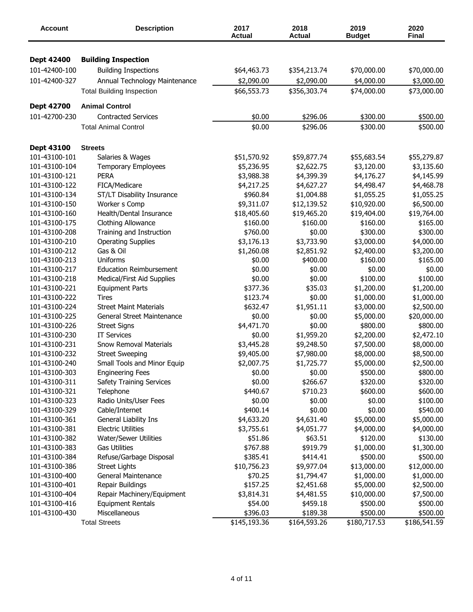| <b>Account</b>                 | <b>Description</b>                                     | 2017<br><b>Actual</b> | 2018<br><b>Actual</b> | 2019<br><b>Budget</b> | 2020<br>Final |
|--------------------------------|--------------------------------------------------------|-----------------------|-----------------------|-----------------------|---------------|
| <b>Dept 42400</b>              | <b>Building Inspection</b>                             |                       |                       |                       |               |
| 101-42400-100                  | <b>Building Inspections</b>                            | \$64,463.73           |                       |                       |               |
|                                |                                                        |                       | \$354,213.74          | \$70,000.00           | \$70,000.00   |
| 101-42400-327                  | Annual Technology Maintenance                          | \$2,090.00            | \$2,090.00            | \$4,000.00            | \$3,000.00    |
|                                | <b>Total Building Inspection</b>                       | \$66,553.73           | \$356,303.74          | \$74,000.00           | \$73,000.00   |
| Dept 42700                     | <b>Animal Control</b>                                  |                       |                       |                       |               |
| 101-42700-230                  | <b>Contracted Services</b>                             | \$0.00                | \$296.06              | \$300.00              | \$500.00      |
|                                | <b>Total Animal Control</b>                            | \$0.00                | \$296.06              | \$300.00              | \$500.00      |
| Dept 43100                     | <b>Streets</b>                                         |                       |                       |                       |               |
| 101-43100-101                  | Salaries & Wages                                       | \$51,570.92           | \$59,877.74           | \$55,683.54           | \$55,279.87   |
| 101-43100-104                  | <b>Temporary Employees</b>                             | \$5,236.95            | \$2,622.75            | \$3,120.00            | \$3,135.60    |
| 101-43100-121                  | <b>PERA</b>                                            | \$3,988.38            | \$4,399.39            | \$4,176.27            | \$4,145.99    |
| 101-43100-122                  | FICA/Medicare                                          | \$4,217.25            | \$4,627.27            | \$4,498.47            | \$4,468.78    |
| 101-43100-134                  | ST/LT Disability Insurance                             | \$960.84              | \$1,004.88            | \$1,055.25            | \$1,055.25    |
| 101-43100-150                  | Worker s Comp                                          | \$9,311.07            | \$12,139.52           | \$10,920.00           | \$6,500.00    |
| 101-43100-160                  | Health/Dental Insurance                                | \$18,405.60           | \$19,465.20           | \$19,404.00           | \$19,764.00   |
| 101-43100-175                  | Clothing Allowance                                     | \$160.00              | \$160.00              | \$160.00              | \$165.00      |
| 101-43100-208                  | Training and Instruction                               | \$760.00              | \$0.00                | \$300.00              | \$300.00      |
| 101-43100-210                  | <b>Operating Supplies</b>                              | \$3,176.13            | \$3,733.90            | \$3,000.00            | \$4,000.00    |
| 101-43100-212                  | Gas & Oil                                              | \$1,260.08            | \$2,851.92            | \$2,400.00            | \$3,200.00    |
| 101-43100-213                  | Uniforms                                               | \$0.00                | \$400.00              | \$160.00              | \$165.00      |
| 101-43100-217                  | <b>Education Reimbursement</b>                         | \$0.00                | \$0.00                | \$0.00                | \$0.00        |
| 101-43100-218                  | Medical/First Aid Supplies                             | \$0.00                | \$0.00                | \$100.00              | \$100.00      |
| 101-43100-221                  | <b>Equipment Parts</b>                                 | \$377.36              | \$35.03               | \$1,200.00            | \$1,200.00    |
| 101-43100-222                  | Tires                                                  | \$123.74              | \$0.00                | \$1,000.00            | \$1,000.00    |
| 101-43100-224                  | <b>Street Maint Materials</b>                          | \$632.47              | \$1,951.11            | \$3,000.00            | \$2,500.00    |
| 101-43100-225                  | General Street Maintenance                             | \$0.00                | \$0.00                | \$5,000.00            | \$20,000.00   |
| 101-43100-226                  | <b>Street Signs</b>                                    | \$4,471.70            | \$0.00                | \$800.00              | \$800.00      |
| 101-43100-230                  | <b>IT Services</b>                                     | \$0.00                | \$1,959.20            | \$2,200.00            | \$2,472.10    |
| 101-43100-231                  | <b>Snow Removal Materials</b>                          | \$3,445.28            | \$9,248.50            |                       | \$8,000.00    |
| 101-43100-232                  |                                                        |                       |                       | \$7,500.00            |               |
|                                | <b>Street Sweeping</b>                                 | \$9,405.00            | \$7,980.00            | \$8,000.00            | \$8,500.00    |
| 101-43100-240<br>101-43100-303 | Small Tools and Minor Equip<br><b>Engineering Fees</b> | \$2,007.75            | \$1,725.77            | \$5,000.00            | \$2,500.00    |
| 101-43100-311                  |                                                        | \$0.00                | \$0.00                | \$500.00              | \$800.00      |
|                                | <b>Safety Training Services</b>                        | \$0.00                | \$266.67              | \$320.00              | \$320.00      |
| 101-43100-321                  | Telephone                                              | \$440.67              | \$710.23<br>\$0.00    | \$600.00              | \$600.00      |
| 101-43100-323                  | Radio Units/User Fees                                  | \$0.00                |                       | \$0.00                | \$100.00      |
| 101-43100-329                  | Cable/Internet                                         | \$400.14              | \$0.00                | \$0.00                | \$540.00      |
| 101-43100-361                  | General Liability Ins                                  | \$4,633.20            | \$4,631.40            | \$5,000.00            | \$5,000.00    |
| 101-43100-381                  | <b>Electric Utilities</b>                              | \$3,755.61            | \$4,051.77            | \$4,000.00            | \$4,000.00    |
| 101-43100-382                  | <b>Water/Sewer Utilities</b>                           | \$51.86               | \$63.51               | \$120.00              | \$130.00      |
| 101-43100-383                  | <b>Gas Utilities</b>                                   | \$767.88              | \$919.79              | \$1,000.00            | \$1,300.00    |
| 101-43100-384                  | Refuse/Garbage Disposal                                | \$385.41              | \$414.41              | \$500.00              | \$500.00      |
| 101-43100-386                  | <b>Street Lights</b>                                   | \$10,756.23           | \$9,977.04            | \$13,000.00           | \$12,000.00   |
| 101-43100-400                  | General Maintenance                                    | \$70.25               | \$1,794.47            | \$1,000.00            | \$1,000.00    |
| 101-43100-401                  | Repair Buildings                                       | \$157.25              | \$2,451.68            | \$5,000.00            | \$2,500.00    |
| 101-43100-404                  | Repair Machinery/Equipment                             | \$3,814.31            | \$4,481.55            | \$10,000.00           | \$7,500.00    |
| 101-43100-416                  | <b>Equipment Rentals</b>                               | \$54.00               | \$459.18              | \$500.00              | \$500.00      |
| 101-43100-430                  | Miscellaneous                                          | \$396.03              | \$189.38              | \$500.00              | \$500.00      |
|                                | <b>Total Streets</b>                                   | \$145,193.36          | \$164,593.26          | \$180,717.53          | \$186,541.59  |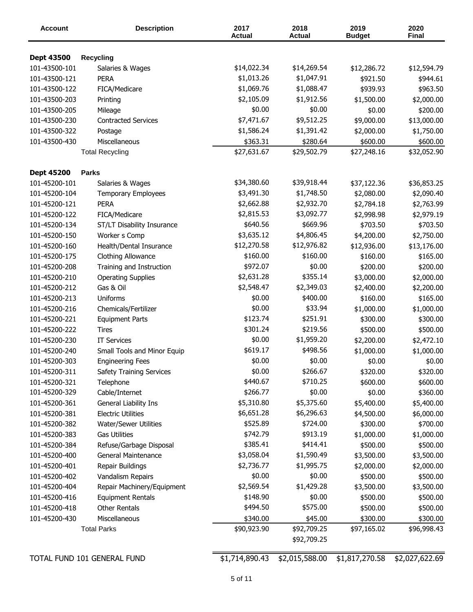| <b>Account</b>              | <b>Description</b>                    | 2017<br><b>Actual</b> | 2018<br><b>Actual</b> | 2019<br><b>Budget</b> | 2020<br><b>Final</b> |
|-----------------------------|---------------------------------------|-----------------------|-----------------------|-----------------------|----------------------|
|                             |                                       |                       |                       |                       |                      |
| Dept 43500<br>101-43500-101 | <b>Recycling</b><br>Salaries & Wages  | \$14,022.34           | \$14,269.54           | \$12,286.72           | \$12,594.79          |
| 101-43500-121               | <b>PERA</b>                           | \$1,013.26            | \$1,047.91            | \$921.50              | \$944.61             |
| 101-43500-122               | FICA/Medicare                         | \$1,069.76            | \$1,088.47            | \$939.93              | \$963.50             |
| 101-43500-203               |                                       | \$2,105.09            | \$1,912.56            |                       | \$2,000.00           |
| 101-43500-205               | Printing                              | \$0.00                | \$0.00                | \$1,500.00<br>\$0.00  | \$200.00             |
| 101-43500-230               | Mileage<br><b>Contracted Services</b> | \$7,471.67            | \$9,512.25            | \$9,000.00            |                      |
| 101-43500-322               |                                       | \$1,586.24            | \$1,391.42            |                       | \$13,000.00          |
|                             | Postage<br>Miscellaneous              |                       |                       | \$2,000.00            | \$1,750.00           |
| 101-43500-430               |                                       | \$363.31              | \$280.64              | \$600.00              | \$600.00             |
|                             | <b>Total Recycling</b>                | \$27,631.67           | \$29,502.79           | \$27,248.16           | \$32,052.90          |
| <b>Dept 45200</b>           | <b>Parks</b>                          |                       |                       |                       |                      |
| 101-45200-101               | Salaries & Wages                      | \$34,380.60           | \$39,918.44           | \$37,122.36           | \$36,853.25          |
| 101-45200-104               | <b>Temporary Employees</b>            | \$3,491.30            | \$1,748.50            | \$2,080.00            | \$2,090.40           |
| 101-45200-121               | <b>PERA</b>                           | \$2,662.88            | \$2,932.70            | \$2,784.18            | \$2,763.99           |
| 101-45200-122               | FICA/Medicare                         | \$2,815.53            | \$3,092.77            | \$2,998.98            | \$2,979.19           |
| 101-45200-134               | ST/LT Disability Insurance            | \$640.56              | \$669.96              | \$703.50              | \$703.50             |
| 101-45200-150               | Worker s Comp                         | \$3,635.12            | \$4,806.45            | \$4,200.00            | \$2,750.00           |
| 101-45200-160               | Health/Dental Insurance               | \$12,270.58           | \$12,976.82           | \$12,936.00           | \$13,176.00          |
| 101-45200-175               | Clothing Allowance                    | \$160.00              | \$160.00              | \$160.00              | \$165.00             |
| 101-45200-208               | Training and Instruction              | \$972.07              | \$0.00                | \$200.00              | \$200.00             |
| 101-45200-210               | <b>Operating Supplies</b>             | \$2,631.28            | \$355.14              | \$3,000.00            | \$2,000.00           |
| 101-45200-212               | Gas & Oil                             | \$2,548.47            | \$2,349.03            | \$2,400.00            | \$2,200.00           |
| 101-45200-213               | Uniforms                              | \$0.00                | \$400.00              | \$160.00              | \$165.00             |
| 101-45200-216               | Chemicals/Fertilizer                  | \$0.00                | \$33.94               | \$1,000.00            | \$1,000.00           |
| 101-45200-221               | <b>Equipment Parts</b>                | \$123.74              | \$251.91              | \$300.00              | \$300.00             |
| 101-45200-222               | Tires                                 | \$301.24              | \$219.56              | \$500.00              | \$500.00             |
| 101-45200-230               | <b>IT Services</b>                    | \$0.00                | \$1,959.20            | \$2,200.00            | \$2,472.10           |
| 101-45200-240               | Small Tools and Minor Equip           | \$619.17              | \$498.56              | \$1,000.00            | \$1,000.00           |
| 101-45200-303               | <b>Engineering Fees</b>               | \$0.00                | \$0.00                | \$0.00                | \$0.00               |
| 101-45200-311               | <b>Safety Training Services</b>       | \$0.00                | \$266.67              | \$320.00              | \$320.00             |
| 101-45200-321               | Telephone                             | \$440.67              | \$710.25              | \$600.00              | \$600.00             |
| 101-45200-329               | Cable/Internet                        | \$266.77              | \$0.00                | \$0.00                | \$360.00             |
| 101-45200-361               | General Liability Ins                 | \$5,310.80            | \$5,375.60            | \$5,400.00            | \$5,400.00           |
| 101-45200-381               | <b>Electric Utilities</b>             | \$6,651.28            | \$6,296.63            | \$4,500.00            | \$6,000.00           |
| 101-45200-382               | <b>Water/Sewer Utilities</b>          | \$525.89              | \$724.00              | \$300.00              | \$700.00             |
| 101-45200-383               | <b>Gas Utilities</b>                  | \$742.79              | \$913.19              | \$1,000.00            | \$1,000.00           |
| 101-45200-384               | Refuse/Garbage Disposal               | \$385.41              | \$414.41              | \$500.00              | \$500.00             |
| 101-45200-400               | General Maintenance                   | \$3,058.04            | \$1,590.49            | \$3,500.00            | \$3,500.00           |
| 101-45200-401               | Repair Buildings                      | \$2,736.77            | \$1,995.75            | \$2,000.00            | \$2,000.00           |
| 101-45200-402               | Vandalism Repairs                     | \$0.00                | \$0.00                | \$500.00              | \$500.00             |
| 101-45200-404               | Repair Machinery/Equipment            | \$2,569.54            | \$1,429.28            | \$3,500.00            | \$3,500.00           |
| 101-45200-416               | <b>Equipment Rentals</b>              | \$148.90              | \$0.00                | \$500.00              | \$500.00             |
| 101-45200-418               | <b>Other Rentals</b>                  | \$494.50              | \$575.00              | \$500.00              | \$500.00             |
| 101-45200-430               | Miscellaneous                         | \$340.00              | \$45.00               | \$300.00              | \$300.00             |
|                             | <b>Total Parks</b>                    | \$90,923.90           | \$92,709.25           | \$97,165.02           | \$96,998.43          |
|                             |                                       |                       | \$92,709.25           |                       |                      |
|                             |                                       |                       |                       |                       |                      |

TOTAL FUND 101 GENERAL FUND \$1,714,890.43 \$2,015,588.00 \$1,817,270.58 \$2,027,622.69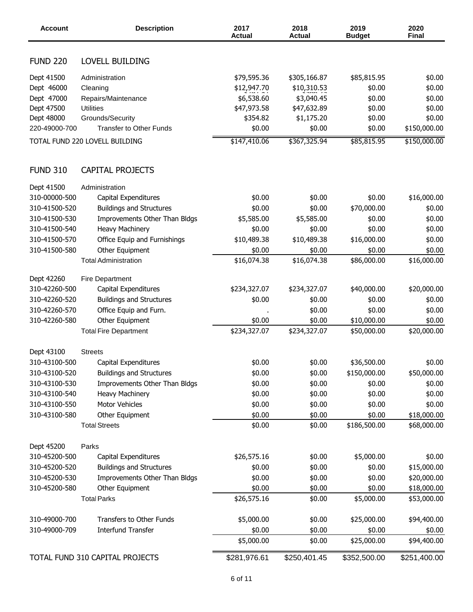| <b>Account</b>  | <b>Description</b>              | 2017<br><b>Actual</b> | 2018<br><b>Actual</b> | 2019<br><b>Budget</b> | 2020<br><b>Final</b> |
|-----------------|---------------------------------|-----------------------|-----------------------|-----------------------|----------------------|
| <b>FUND 220</b> | LOVELL BUILDING                 |                       |                       |                       |                      |
| Dept 41500      | Administration                  | \$79,595.36           | \$305,166.87          | \$85,815.95           | \$0.00               |
| Dept 46000      | Cleaning                        | \$12,947.70           | \$10,310.53           | \$0.00                | \$0.00               |
| Dept 47000      | Repairs/Maintenance             | \$6,538.60            | \$3,040.45            | \$0.00                | \$0.00               |
| Dept 47500      | <b>Utilities</b>                | \$47,973.58           | \$47,632.89           | \$0.00                | \$0.00               |
| Dept 48000      | Grounds/Security                | \$354.82              | \$1,175.20            | \$0.00                | \$0.00               |
| 220-49000-700   | <b>Transfer to Other Funds</b>  | \$0.00                | \$0.00                | \$0.00                | \$150,000.00         |
|                 | TOTAL FUND 220 LOVELL BUILDING  | \$147,410.06          | \$367,325.94          | \$85,815.95           | \$150,000.00         |
|                 |                                 |                       |                       |                       |                      |
| <b>FUND 310</b> | <b>CAPITAL PROJECTS</b>         |                       |                       |                       |                      |
| Dept 41500      | Administration                  |                       |                       |                       |                      |
| 310-00000-500   | Capital Expenditures            | \$0.00                | \$0.00                | \$0.00                | \$16,000.00          |
| 310-41500-520   | <b>Buildings and Structures</b> | \$0.00                | \$0.00                | \$70,000.00           | \$0.00               |
| 310-41500-530   | Improvements Other Than Bldgs   | \$5,585.00            | \$5,585.00            | \$0.00                | \$0.00               |
| 310-41500-540   | Heavy Machinery                 | \$0.00                | \$0.00                | \$0.00                | \$0.00               |
| 310-41500-570   | Office Equip and Furnishings    | \$10,489.38           | \$10,489.38           | \$16,000.00           | \$0.00               |
| 310-41500-580   | Other Equipment                 | \$0.00                | \$0.00                | \$0.00                | \$0.00               |
|                 | <b>Total Administration</b>     | \$16,074.38           | \$16,074.38           | \$86,000.00           | \$16,000.00          |
| Dept 42260      | <b>Fire Department</b>          |                       |                       |                       |                      |
| 310-42260-500   | Capital Expenditures            | \$234,327.07          | \$234,327.07          | \$40,000.00           | \$20,000.00          |
| 310-42260-520   | <b>Buildings and Structures</b> | \$0.00                | \$0.00                | \$0.00                | \$0.00               |
| 310-42260-570   | Office Equip and Furn.          |                       | \$0.00                | \$0.00                | \$0.00               |
| 310-42260-580   | Other Equipment                 | \$0.00                | \$0.00                | \$10,000.00           | \$0.00               |
|                 | <b>Total Fire Department</b>    | \$234,327.07          | \$234,327.07          | \$50,000.00           | \$20,000.00          |
| Dept 43100      | <b>Streets</b>                  |                       |                       |                       |                      |
| 310-43100-500   | Capital Expenditures            | \$0.00                | \$0.00                | \$36,500.00           | \$0.00               |
| 310-43100-520   | <b>Buildings and Structures</b> | \$0.00                | \$0.00                | \$150,000.00          | \$50,000.00          |
| 310-43100-530   | Improvements Other Than Bldgs   | \$0.00                | \$0.00                | \$0.00                | \$0.00               |
| 310-43100-540   | Heavy Machinery                 | \$0.00                | \$0.00                | \$0.00                | \$0.00               |
| 310-43100-550   | Motor Vehicles                  | \$0.00                | \$0.00                | \$0.00                | \$0.00               |
| 310-43100-580   | Other Equipment                 | \$0.00                | \$0.00                | \$0.00                | \$18,000.00          |
|                 | <b>Total Streets</b>            | \$0.00                | \$0.00                | \$186,500.00          |                      |
|                 |                                 |                       |                       |                       | \$68,000.00          |
| Dept 45200      | Parks                           |                       |                       |                       |                      |
| 310-45200-500   | Capital Expenditures            | \$26,575.16           | \$0.00                | \$5,000.00            | \$0.00               |
| 310-45200-520   | <b>Buildings and Structures</b> | \$0.00                | \$0.00                | \$0.00                | \$15,000.00          |
| 310-45200-530   | Improvements Other Than Bldgs   | \$0.00                | \$0.00                | \$0.00                | \$20,000.00          |
| 310-45200-580   | Other Equipment                 | \$0.00                | \$0.00                | \$0.00                | \$18,000.00          |
|                 | <b>Total Parks</b>              | \$26,575.16           | \$0.00                | \$5,000.00            | \$53,000.00          |
| 310-49000-700   | Transfers to Other Funds        | \$5,000.00            | \$0.00                | \$25,000.00           | \$94,400.00          |
| 310-49000-709   | <b>Interfund Transfer</b>       | \$0.00                | \$0.00                | \$0.00                | \$0.00               |
|                 |                                 | \$5,000.00            | \$0.00                | \$25,000.00           | \$94,400.00          |
|                 | TOTAL FUND 310 CAPITAL PROJECTS | \$281,976.61          | \$250,401.45          | \$352,500.00          | \$251,400.00         |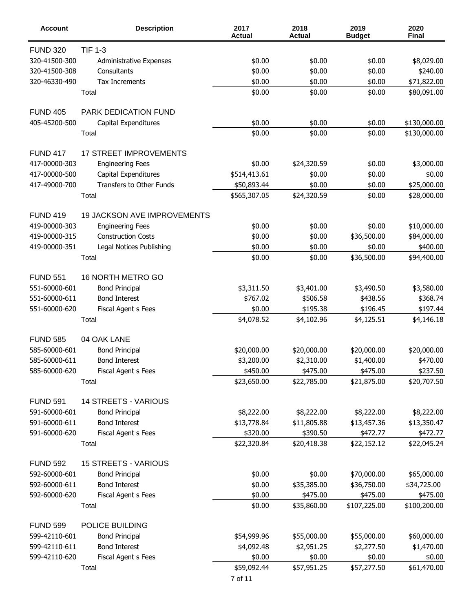| <b>Account</b>  | <b>Description</b>            | 2017<br><b>Actual</b> | 2018<br><b>Actual</b> | 2019<br><b>Budget</b> | 2020<br><b>Final</b> |
|-----------------|-------------------------------|-----------------------|-----------------------|-----------------------|----------------------|
| <b>FUND 320</b> | <b>TIF 1-3</b>                |                       |                       |                       |                      |
| 320-41500-300   | Administrative Expenses       | \$0.00                | \$0.00                | \$0.00                | \$8,029.00           |
| 320-41500-308   | Consultants                   | \$0.00                | \$0.00                | \$0.00                | \$240.00             |
| 320-46330-490   | Tax Increments                | \$0.00                | \$0.00                | \$0.00                | \$71,822.00          |
|                 | Total                         | \$0.00                | \$0.00                | \$0.00                | \$80,091.00          |
| <b>FUND 405</b> | PARK DEDICATION FUND          |                       |                       |                       |                      |
| 405-45200-500   | Capital Expenditures          | \$0.00                | \$0.00                | \$0.00                | \$130,000.00         |
|                 | Total                         | \$0.00                | \$0.00                | \$0.00                | \$130,000.00         |
| <b>FUND 417</b> | <b>17 STREET IMPROVEMENTS</b> |                       |                       |                       |                      |
| 417-00000-303   | <b>Engineering Fees</b>       | \$0.00                | \$24,320.59           | \$0.00                | \$3,000.00           |
| 417-00000-500   | Capital Expenditures          | \$514,413.61          | \$0.00                | \$0.00                | \$0.00               |
| 417-49000-700   | Transfers to Other Funds      | \$50,893.44           | \$0.00                | \$0.00                | \$25,000.00          |
|                 | Total                         | \$565,307.05          | \$24,320.59           | \$0.00                | \$28,000.00          |
| <b>FUND 419</b> | 19 JACKSON AVE IMPROVEMENTS   |                       |                       |                       |                      |
| 419-00000-303   | <b>Engineering Fees</b>       | \$0.00                | \$0.00                | \$0.00                | \$10,000.00          |
| 419-00000-315   | <b>Construction Costs</b>     | \$0.00                | \$0.00                | \$36,500.00           | \$84,000.00          |
| 419-00000-351   | Legal Notices Publishing      | \$0.00                | \$0.00                | \$0.00                | \$400.00             |
|                 | Total                         | \$0.00                | \$0.00                | \$36,500.00           | \$94,400.00          |
| <b>FUND 551</b> | 16 NORTH METRO GO             |                       |                       |                       |                      |
| 551-60000-601   | <b>Bond Principal</b>         | \$3,311.50            | \$3,401.00            | \$3,490.50            | \$3,580.00           |
| 551-60000-611   | <b>Bond Interest</b>          | \$767.02              | \$506.58              | \$438.56              | \$368.74             |
| 551-60000-620   | Fiscal Agent s Fees           | \$0.00                | \$195.38              | \$196.45              | \$197.44             |
|                 | Total                         | \$4,078.52            | \$4,102.96            | \$4,125.51            | \$4,146.18           |
| <b>FUND 585</b> | 04 OAK LANE                   |                       |                       |                       |                      |
| 585-60000-601   | <b>Bond Principal</b>         | \$20,000.00           | \$20,000.00           | \$20,000.00           | \$20,000.00          |
| 585-60000-611   | <b>Bond Interest</b>          | \$3,200.00            | \$2,310.00            | \$1,400.00            | \$470.00             |
| 585-60000-620   | Fiscal Agent s Fees           | \$450.00              | \$475.00              | \$475.00              | \$237.50             |
|                 | Total                         | \$23,650.00           | \$22,785.00           | \$21,875.00           | \$20,707.50          |
| <b>FUND 591</b> | 14 STREETS - VARIOUS          |                       |                       |                       |                      |
| 591-60000-601   | <b>Bond Principal</b>         | \$8,222.00            | \$8,222.00            | \$8,222.00            | \$8,222.00           |
| 591-60000-611   | <b>Bond Interest</b>          | \$13,778.84           | \$11,805.88           | \$13,457.36           | \$13,350.47          |
| 591-60000-620   | Fiscal Agent s Fees           | \$320.00              | \$390.50              | \$472.77              | \$472.77             |
|                 | Total                         | \$22,320.84           | \$20,418.38           | \$22,152.12           | \$22,045.24          |
| <b>FUND 592</b> | <b>15 STREETS - VARIOUS</b>   |                       |                       |                       |                      |
| 592-60000-601   | <b>Bond Principal</b>         | \$0.00                | \$0.00                | \$70,000.00           | \$65,000.00          |
| 592-60000-611   | <b>Bond Interest</b>          | \$0.00                | \$35,385.00           | \$36,750.00           | \$34,725.00          |
| 592-60000-620   | Fiscal Agent s Fees           | \$0.00                | \$475.00              | \$475.00              | \$475.00             |
|                 | Total                         | \$0.00                | \$35,860.00           | \$107,225.00          | \$100,200.00         |
| <b>FUND 599</b> | POLICE BUILDING               |                       |                       |                       |                      |
| 599-42110-601   | <b>Bond Principal</b>         | \$54,999.96           | \$55,000.00           | \$55,000.00           | \$60,000.00          |
| 599-42110-611   | <b>Bond Interest</b>          | \$4,092.48            | \$2,951.25            | \$2,277.50            | \$1,470.00           |
| 599-42110-620   | Fiscal Agent s Fees           | \$0.00                | \$0.00                | \$0.00                | \$0.00               |
|                 | Total                         | \$59,092.44           | \$57,951.25           | \$57,277.50           | \$61,470.00          |
|                 |                               | 7 of 11               |                       |                       |                      |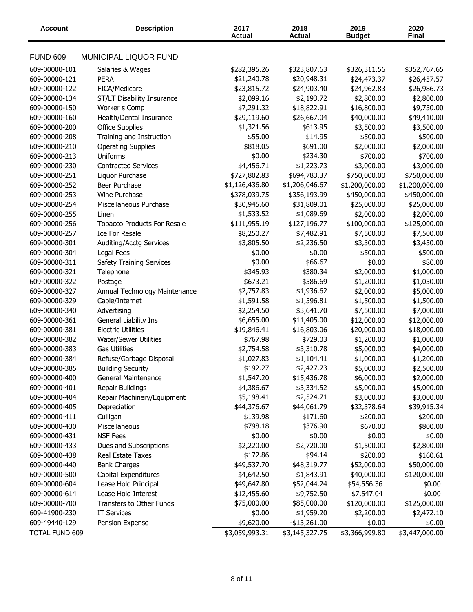| <b>Account</b>        | <b>Description</b>                    | 2017<br><b>Actual</b> | 2018<br><b>Actual</b> | 2019<br><b>Budget</b> | 2020<br><b>Final</b> |
|-----------------------|---------------------------------------|-----------------------|-----------------------|-----------------------|----------------------|
| <b>FUND 609</b>       | MUNICIPAL LIQUOR FUND                 |                       |                       |                       |                      |
| 609-00000-101         | Salaries & Wages                      | \$282,395.26          | \$323,807.63          | \$326,311.56          | \$352,767.65         |
| 609-00000-121         | <b>PERA</b>                           | \$21,240.78           | \$20,948.31           | \$24,473.37           | \$26,457.57          |
| 609-00000-122         | FICA/Medicare                         | \$23,815.72           | \$24,903.40           | \$24,962.83           | \$26,986.73          |
| 609-00000-134         | ST/LT Disability Insurance            | \$2,099.16            | \$2,193.72            | \$2,800.00            | \$2,800.00           |
| 609-00000-150         | Worker s Comp                         | \$7,291.32            | \$18,822.91           | \$16,800.00           | \$9,750.00           |
| 609-00000-160         | Health/Dental Insurance               | \$29,119.60           | \$26,667.04           | \$40,000.00           | \$49,410.00          |
| 609-00000-200         | <b>Office Supplies</b>                | \$1,321.56            | \$613.95              | \$3,500.00            | \$3,500.00           |
| 609-00000-208         | Training and Instruction              | \$55.00               | \$14.95               | \$500.00              | \$500.00             |
| 609-00000-210         |                                       | \$818.05              | \$691.00              |                       |                      |
|                       | <b>Operating Supplies</b><br>Uniforms |                       |                       | \$2,000.00            | \$2,000.00           |
| 609-00000-213         |                                       | \$0.00                | \$234.30              | \$700.00              | \$700.00             |
| 609-00000-230         | <b>Contracted Services</b>            | \$4,456.71            | \$1,223.73            | \$3,000.00            | \$3,000.00           |
| 609-00000-251         | Liquor Purchase                       | \$727,802.83          | \$694,783.37          | \$750,000.00          | \$750,000.00         |
| 609-00000-252         | Beer Purchase                         | \$1,126,436.80        | \$1,206,046.67        | \$1,200,000.00        | \$1,200,000.00       |
| 609-00000-253         | Wine Purchase                         | \$378,039.75          | \$356,193.99          | \$450,000.00          | \$450,000.00         |
| 609-00000-254         | Miscellaneous Purchase                | \$30,945.60           | \$31,809.01           | \$25,000.00           | \$25,000.00          |
| 609-00000-255         | Linen                                 | \$1,533.52            | \$1,089.69            | \$2,000.00            | \$2,000.00           |
| 609-00000-256         | <b>Tobacco Products For Resale</b>    | \$111,955.19          | \$127,196.77          | \$100,000.00          | \$125,000.00         |
| 609-00000-257         | Ice For Resale                        | \$8,250.27            | \$7,482.91            | \$7,500.00            | \$7,500.00           |
| 609-00000-301         | Auditing/Acctg Services               | \$3,805.50            | \$2,236.50            | \$3,300.00            | \$3,450.00           |
| 609-00000-304         | Legal Fees                            | \$0.00                | \$0.00                | \$500.00              | \$500.00             |
| 609-00000-311         | <b>Safety Training Services</b>       | \$0.00                | \$66.67               | \$0.00                | \$80.00              |
| 609-00000-321         | Telephone                             | \$345.93              | \$380.34              | \$2,000.00            | \$1,000.00           |
| 609-00000-322         | Postage                               | \$673.21              | \$586.69              | \$1,200.00            | \$1,050.00           |
| 609-00000-327         | Annual Technology Maintenance         | \$2,757.83            | \$1,936.62            | \$2,000.00            | \$5,000.00           |
| 609-00000-329         | Cable/Internet                        | \$1,591.58            | \$1,596.81            | \$1,500.00            | \$1,500.00           |
| 609-00000-340         | Advertising                           | \$2,254.50            | \$3,641.70            | \$7,500.00            | \$7,000.00           |
| 609-00000-361         | General Liability Ins                 | \$6,655.00            | \$11,405.00           | \$12,000.00           | \$12,000.00          |
| 609-00000-381         | <b>Electric Utilities</b>             | \$19,846.41           | \$16,803.06           | \$20,000.00           | \$18,000.00          |
| 609-00000-382         | Water/Sewer Utilities                 | \$767.98              | \$729.03              | \$1,200.00            | \$1,000.00           |
| 609-00000-383         | <b>Gas Utilities</b>                  | \$2,754.58            | \$3,310.78            | \$5,000.00            | \$4,000.00           |
| 609-00000-384         | Refuse/Garbage Disposal               | \$1,027.83            | \$1,104.41            | \$1,000.00            | \$1,200.00           |
| 609-00000-385         | <b>Building Security</b>              | \$192.27              | \$2,427.73            | \$5,000.00            | \$2,500.00           |
| 609-00000-400         | General Maintenance                   | \$1,547.20            | \$15,436.78           | \$6,000.00            | \$2,000.00           |
| 609-00000-401         | Repair Buildings                      | \$4,386.67            | \$3,334.52            | \$5,000.00            | \$5,000.00           |
| 609-00000-404         | Repair Machinery/Equipment            | \$5,198.41            | \$2,524.71            | \$3,000.00            | \$3,000.00           |
| 609-00000-405         | Depreciation                          | \$44,376.67           | \$44,061.79           | \$32,378.64           | \$39,915.34          |
| 609-00000-411         | Culligan                              | \$139.98              | \$171.60              | \$200.00              | \$200.00             |
| 609-00000-430         | Miscellaneous                         | \$798.18              | \$376.90              | \$670.00              | \$800.00             |
| 609-00000-431         | <b>NSF Fees</b>                       | \$0.00                | \$0.00                | \$0.00                | \$0.00               |
| 609-00000-433         | Dues and Subscriptions                | \$2,220.00            | \$2,720.00            | \$1,500.00            | \$2,800.00           |
| 609-00000-438         | Real Estate Taxes                     | \$172.86              | \$94.14               | \$200.00              | \$160.61             |
| 609-00000-440         | <b>Bank Charges</b>                   | \$49,537.70           | \$48,319.77           | \$52,000.00           | \$50,000.00          |
| 609-00000-500         | Capital Expenditures                  | \$4,642.50            | \$1,843.91            | \$40,000.00           | \$120,000.00         |
| 609-00000-604         | Lease Hold Principal                  | \$49,647.80           | \$52,044.24           | \$54,556.36           | \$0.00               |
| 609-00000-614         | Lease Hold Interest                   | \$12,455.60           | \$9,752.50            | \$7,547.04            | \$0.00               |
| 609-00000-700         | Transfers to Other Funds              | \$75,000.00           | \$85,000.00           | \$120,000.00          | \$125,000.00         |
| 609-41900-230         | <b>IT Services</b>                    | \$0.00                | \$1,959.20            | \$2,200.00            | \$2,472.10           |
| 609-49440-129         | Pension Expense                       | \$9,620.00            | $-$13,261.00$         | \$0.00                | \$0.00               |
| <b>TOTAL FUND 609</b> |                                       | \$3,059,993.31        | \$3,145,327.75        | \$3,366,999.80        | \$3,447,000.00       |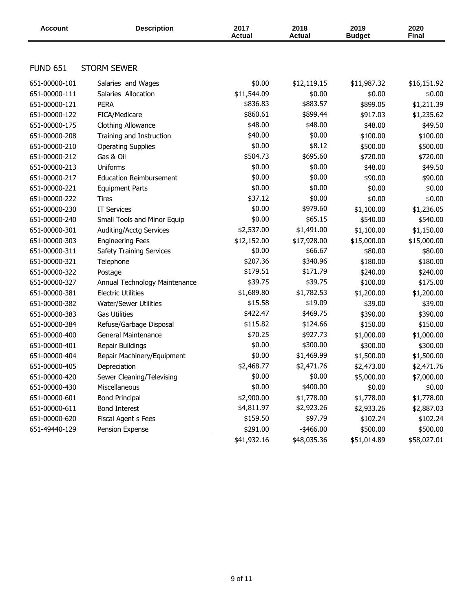| <b>Account</b>  | <b>Description</b>              | 2017<br><b>Actual</b> | 2018<br><b>Actual</b> | 2019<br><b>Budget</b> | 2020<br><b>Final</b> |
|-----------------|---------------------------------|-----------------------|-----------------------|-----------------------|----------------------|
|                 |                                 |                       |                       |                       |                      |
| <b>FUND 651</b> | <b>STORM SEWER</b>              |                       |                       |                       |                      |
| 651-00000-101   | Salaries and Wages              | \$0.00                | \$12,119.15           | \$11,987.32           | \$16,151.92          |
| 651-00000-111   | Salaries Allocation             | \$11,544.09           | \$0.00                | \$0.00                | \$0.00               |
| 651-00000-121   | <b>PERA</b>                     | \$836.83              | \$883.57              | \$899.05              | \$1,211.39           |
| 651-00000-122   | FICA/Medicare                   | \$860.61              | \$899.44              | \$917.03              | \$1,235.62           |
| 651-00000-175   | Clothing Allowance              | \$48.00               | \$48.00               | \$48.00               | \$49.50              |
| 651-00000-208   | Training and Instruction        | \$40.00               | \$0.00                | \$100.00              | \$100.00             |
| 651-00000-210   | <b>Operating Supplies</b>       | \$0.00                | \$8.12                | \$500.00              | \$500.00             |
| 651-00000-212   | Gas & Oil                       | \$504.73              | \$695.60              | \$720.00              | \$720.00             |
| 651-00000-213   | <b>Uniforms</b>                 | \$0.00                | \$0.00                | \$48.00               | \$49.50              |
| 651-00000-217   | <b>Education Reimbursement</b>  | \$0.00                | \$0.00                | \$90.00               | \$90.00              |
| 651-00000-221   | <b>Equipment Parts</b>          | \$0.00                | \$0.00                | \$0.00                | \$0.00               |
| 651-00000-222   | Tires                           | \$37.12               | \$0.00                | \$0.00                | \$0.00               |
| 651-00000-230   | <b>IT Services</b>              | \$0.00                | \$979.60              | \$1,100.00            | \$1,236.05           |
| 651-00000-240   | Small Tools and Minor Equip     | \$0.00                | \$65.15               | \$540.00              | \$540.00             |
| 651-00000-301   | Auditing/Acctg Services         | \$2,537.00            | \$1,491.00            | \$1,100.00            | \$1,150.00           |
| 651-00000-303   | <b>Engineering Fees</b>         | \$12,152.00           | \$17,928.00           | \$15,000.00           | \$15,000.00          |
| 651-00000-311   | <b>Safety Training Services</b> | \$0.00                | \$66.67               | \$80.00               | \$80.00              |
| 651-00000-321   | Telephone                       | \$207.36              | \$340.96              | \$180.00              | \$180.00             |
| 651-00000-322   | Postage                         | \$179.51              | \$171.79              | \$240.00              | \$240.00             |
| 651-00000-327   | Annual Technology Maintenance   | \$39.75               | \$39.75               | \$100.00              | \$175.00             |
| 651-00000-381   | <b>Electric Utilities</b>       | \$1,689.80            | \$1,782.53            | \$1,200.00            | \$1,200.00           |
| 651-00000-382   | Water/Sewer Utilities           | \$15.58               | \$19.09               | \$39.00               | \$39.00              |
| 651-00000-383   | <b>Gas Utilities</b>            | \$422.47              | \$469.75              | \$390.00              | \$390.00             |
| 651-00000-384   | Refuse/Garbage Disposal         | \$115.82              | \$124.66              | \$150.00              | \$150.00             |
| 651-00000-400   | General Maintenance             | \$70.25               | \$927.73              | \$1,000.00            | \$1,000.00           |
| 651-00000-401   | Repair Buildings                | \$0.00                | \$300.00              | \$300.00              | \$300.00             |
| 651-00000-404   | Repair Machinery/Equipment      | \$0.00                | \$1,469.99            | \$1,500.00            | \$1,500.00           |
| 651-00000-405   | Depreciation                    | \$2,468.77            | \$2,471.76            | \$2,473.00            | \$2,471.76           |
| 651-00000-420   | Sewer Cleaning/Televising       | \$0.00                | \$0.00                | \$5,000.00            | \$7,000.00           |
| 651-00000-430   | Miscellaneous                   | \$0.00                | \$400.00              | \$0.00                | \$0.00               |
| 651-00000-601   | <b>Bond Principal</b>           | \$2,900.00            | \$1,778.00            | \$1,778.00            | \$1,778.00           |
| 651-00000-611   | <b>Bond Interest</b>            | \$4,811.97            | \$2,923.26            | \$2,933.26            | \$2,887.03           |
| 651-00000-620   | Fiscal Agent s Fees             | \$159.50              | \$97.79               | \$102.24              | \$102.24             |
| 651-49440-129   | Pension Expense                 | \$291.00              | $-$ \$466.00          | \$500.00              | \$500.00             |
|                 |                                 | \$41,932.16           | \$48,035.36           | \$51,014.89           | \$58,027.01          |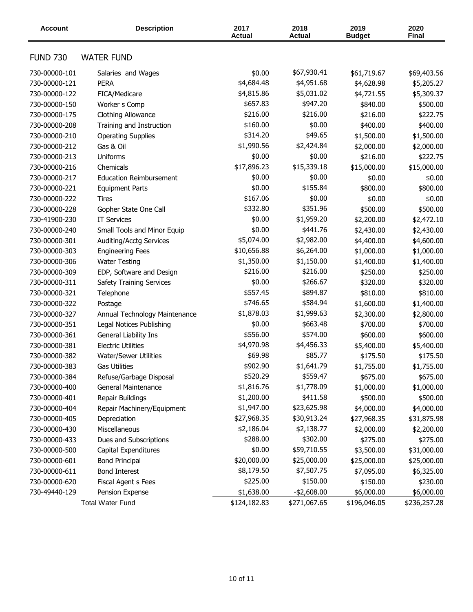| <b>Account</b>  | <b>Description</b>              | 2017<br><b>Actual</b> | 2018<br><b>Actual</b> | 2019<br><b>Budget</b> | 2020<br><b>Final</b> |
|-----------------|---------------------------------|-----------------------|-----------------------|-----------------------|----------------------|
| <b>FUND 730</b> | <b>WATER FUND</b>               |                       |                       |                       |                      |
| 730-00000-101   | Salaries and Wages              | \$0.00                | \$67,930.41           | \$61,719.67           | \$69,403.56          |
| 730-00000-121   | <b>PERA</b>                     | \$4,684.48            | \$4,951.68            | \$4,628.98            | \$5,205.27           |
| 730-00000-122   | FICA/Medicare                   | \$4,815.86            | \$5,031.02            | \$4,721.55            | \$5,309.37           |
| 730-00000-150   | Worker s Comp                   | \$657.83              | \$947.20              | \$840.00              | \$500.00             |
| 730-00000-175   | Clothing Allowance              | \$216.00              | \$216.00              | \$216.00              | \$222.75             |
| 730-00000-208   | Training and Instruction        | \$160.00              | \$0.00                | \$400.00              | \$400.00             |
| 730-00000-210   | <b>Operating Supplies</b>       | \$314.20              | \$49.65               | \$1,500.00            | \$1,500.00           |
| 730-00000-212   | Gas & Oil                       | \$1,990.56            | \$2,424.84            | \$2,000.00            | \$2,000.00           |
| 730-00000-213   | <b>Uniforms</b>                 | \$0.00                | \$0.00                | \$216.00              | \$222.75             |
| 730-00000-216   | Chemicals                       | \$17,896.23           | \$15,339.18           | \$15,000.00           | \$15,000.00          |
| 730-00000-217   | <b>Education Reimbursement</b>  | \$0.00                | \$0.00                | \$0.00                | \$0.00               |
| 730-00000-221   | <b>Equipment Parts</b>          | \$0.00                | \$155.84              | \$800.00              | \$800.00             |
| 730-00000-222   | Tires                           | \$167.06              | \$0.00                | \$0.00                | \$0.00               |
| 730-00000-228   | Gopher State One Call           | \$332.80              | \$351.96              | \$500.00              | \$500.00             |
| 730-41900-230   | <b>IT Services</b>              | \$0.00                | \$1,959.20            | \$2,200.00            | \$2,472.10           |
| 730-00000-240   | Small Tools and Minor Equip     | \$0.00                | \$441.76              | \$2,430.00            | \$2,430.00           |
| 730-00000-301   | Auditing/Acctg Services         | \$5,074.00            | \$2,982.00            | \$4,400.00            | \$4,600.00           |
| 730-00000-303   | <b>Engineering Fees</b>         | \$10,656.88           | \$6,264.00            | \$1,000.00            | \$1,000.00           |
| 730-00000-306   | <b>Water Testing</b>            | \$1,350.00            | \$1,150.00            | \$1,400.00            | \$1,400.00           |
| 730-00000-309   | EDP, Software and Design        | \$216.00              | \$216.00              | \$250.00              | \$250.00             |
| 730-00000-311   | <b>Safety Training Services</b> | \$0.00                | \$266.67              | \$320.00              | \$320.00             |
| 730-00000-321   | Telephone                       | \$557.45              | \$894.87              | \$810.00              | \$810.00             |
| 730-00000-322   | Postage                         | \$746.65              | \$584.94              | \$1,600.00            | \$1,400.00           |
| 730-00000-327   | Annual Technology Maintenance   | \$1,878.03            | \$1,999.63            | \$2,300.00            | \$2,800.00           |
| 730-00000-351   | Legal Notices Publishing        | \$0.00                | \$663.48              | \$700.00              | \$700.00             |
| 730-00000-361   | General Liability Ins           | \$556.00              | \$574.00              | \$600.00              | \$600.00             |
| 730-00000-381   | <b>Electric Utilities</b>       | \$4,970.98            | \$4,456.33            | \$5,400.00            | \$5,400.00           |
| 730-00000-382   | <b>Water/Sewer Utilities</b>    | \$69.98               | \$85.77               | \$175.50              | \$175.50             |
| 730-00000-383   | Gas Utilities                   | \$902.90              | \$1,641.79            | \$1,755.00            | \$1,755.00           |
| 730-00000-384   | Refuse/Garbage Disposal         | \$520.29              | \$559.47              | \$675.00              | \$675.00             |
| 730-00000-400   | General Maintenance             | \$1,816.76            | \$1,778.09            | \$1,000.00            | \$1,000.00           |
| 730-00000-401   | Repair Buildings                | \$1,200.00            | \$411.58              | \$500.00              | \$500.00             |
| 730-00000-404   | Repair Machinery/Equipment      | \$1,947.00            | \$23,625.98           | \$4,000.00            | \$4,000.00           |
| 730-00000-405   | Depreciation                    | \$27,968.35           | \$30,913.24           | \$27,968.35           | \$31,875.98          |
| 730-00000-430   | Miscellaneous                   | \$2,186.04            | \$2,138.77            | \$2,000.00            | \$2,200.00           |
| 730-00000-433   | Dues and Subscriptions          | \$288.00              | \$302.00              | \$275.00              | \$275.00             |
| 730-00000-500   | Capital Expenditures            | \$0.00                | \$59,710.55           | \$3,500.00            | \$31,000.00          |
| 730-00000-601   | <b>Bond Principal</b>           | \$20,000.00           | \$25,000.00           | \$25,000.00           | \$25,000.00          |
| 730-00000-611   | <b>Bond Interest</b>            | \$8,179.50            | \$7,507.75            | \$7,095.00            | \$6,325.00           |
| 730-00000-620   | Fiscal Agent s Fees             | \$225.00              | \$150.00              | \$150.00              | \$230.00             |
| 730-49440-129   | Pension Expense                 | \$1,638.00            | -\$2,608.00           | \$6,000.00            | \$6,000.00           |
|                 | <b>Total Water Fund</b>         | \$124,182.83          | \$271,067.65          | \$196,046.05          | \$236,257.28         |